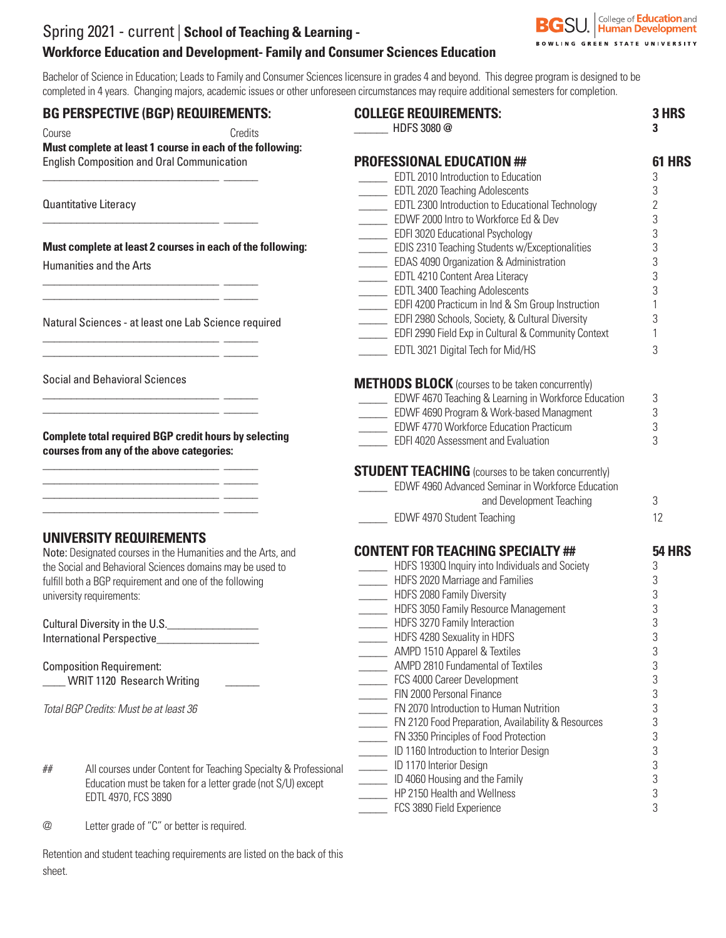# Spring 2021 - current | **School of Teaching & Learning - Workforce Education and Development- Family and Consumer Sciences Education**

Bachelor of Science in Education; Leads to Family and Consumer Sciences licensure in grades 4 and beyond. This degree program is designed to be completed in 4 years. Changing majors, academic issues or other unforeseen circumstances may require additional semesters for completion.

#### **BG PERSPECTIVE (BGP) REQUIREMENTS:**

\_\_\_\_\_\_\_\_\_\_\_\_\_\_\_\_\_\_\_\_\_\_\_\_\_\_\_\_\_\_\_ \_\_\_\_\_\_

\_\_\_\_\_\_\_\_\_\_\_\_\_\_\_\_\_\_\_\_\_\_\_\_\_\_\_\_\_\_\_ \_\_\_\_\_\_

\_\_\_\_\_\_\_\_\_\_\_\_\_\_\_\_\_\_\_\_\_\_\_\_\_\_\_\_\_\_\_ \_\_\_\_\_\_ \_\_\_\_\_\_\_\_\_\_\_\_\_\_\_\_\_\_\_\_\_\_\_\_\_\_\_\_\_\_\_ \_\_\_\_\_\_

\_\_\_\_\_\_\_\_\_\_\_\_\_\_\_\_\_\_\_\_\_\_\_\_\_\_\_\_\_\_\_ \_\_\_\_\_\_  $\frac{1}{2}$  ,  $\frac{1}{2}$  ,  $\frac{1}{2}$  ,  $\frac{1}{2}$  ,  $\frac{1}{2}$  ,  $\frac{1}{2}$  ,  $\frac{1}{2}$  ,  $\frac{1}{2}$  ,  $\frac{1}{2}$  ,  $\frac{1}{2}$  ,  $\frac{1}{2}$  ,  $\frac{1}{2}$  ,  $\frac{1}{2}$  ,  $\frac{1}{2}$  ,  $\frac{1}{2}$  ,  $\frac{1}{2}$  ,  $\frac{1}{2}$  ,  $\frac{1}{2}$  ,  $\frac{1$ 

\_\_\_\_\_\_\_\_\_\_\_\_\_\_\_\_\_\_\_\_\_\_\_\_\_\_\_\_\_\_\_ \_\_\_\_\_\_ \_\_\_\_\_\_\_\_\_\_\_\_\_\_\_\_\_\_\_\_\_\_\_\_\_\_\_\_\_\_\_ \_\_\_\_\_\_

\_\_\_\_\_\_\_\_\_\_\_\_\_\_\_\_\_\_\_\_\_\_\_\_\_\_\_\_\_\_\_ \_\_\_\_\_\_  $\frac{1}{\sqrt{2}}$  ,  $\frac{1}{\sqrt{2}}$  ,  $\frac{1}{\sqrt{2}}$  ,  $\frac{1}{\sqrt{2}}$  ,  $\frac{1}{\sqrt{2}}$  ,  $\frac{1}{\sqrt{2}}$  ,  $\frac{1}{\sqrt{2}}$  ,  $\frac{1}{\sqrt{2}}$  ,  $\frac{1}{\sqrt{2}}$  ,  $\frac{1}{\sqrt{2}}$  ,  $\frac{1}{\sqrt{2}}$  ,  $\frac{1}{\sqrt{2}}$  ,  $\frac{1}{\sqrt{2}}$  ,  $\frac{1}{\sqrt{2}}$  ,  $\frac{1}{\sqrt{2}}$ \_\_\_\_\_\_\_\_\_\_\_\_\_\_\_\_\_\_\_\_\_\_\_\_\_\_\_\_\_\_\_ \_\_\_\_\_\_ \_\_\_\_\_\_\_\_\_\_\_\_\_\_\_\_\_\_\_\_\_\_\_\_\_\_\_\_\_\_\_ \_\_\_\_\_\_

Course Credits **Must complete at least 1 course in each of the following:**  English Composition and Oral Communication

Quantitative Literacy

**Must complete at least 2 courses in each of the following:**

Humanities and the Arts

Natural Sciences - at least one Lab Science required

Social and Behavioral Sciences

**Complete total required BGP credit hours by selecting courses from any of the above categories:**

#### **UNIVERSITY REQUIREMENTS**

Note: Designated courses in the Humanities and the Arts, and the Social and Behavioral Sciences domains may be used to fulfill both a BGP requirement and one of the following university requirements:

Cultural Diversity in the U.S.\_\_\_\_\_\_\_\_\_\_\_\_\_\_\_\_ International Perspective\_\_\_\_\_\_\_\_\_\_\_\_\_\_\_\_\_\_

Composition Requirement: \_\_\_\_ WRIT 1120 Research Writing \_\_\_\_\_\_

*Total BGP Credits: Must be at least 36*

| ## | All courses under Content for Teaching Specialty & Professional |
|----|-----------------------------------------------------------------|
|    | Education must be taken for a letter grade (not $S/U$ ) except  |
|    | EDTL 4970, FCS 3890                                             |

@ Letter grade of "C" or better is required.

Retention and student teaching requirements are listed on the back of this sheet.

| <b>COLLEGE REQUIREMENTS:</b><br>HDFS 3080@                                    | 3 HRS<br>3     |
|-------------------------------------------------------------------------------|----------------|
| <b>PROFESSIONAL EDUCATION ##</b>                                              | 61 HRS         |
| EDTL 2010 Introduction to Education                                           | 3              |
| <b>EDTL 2020 Teaching Adolescents</b>                                         | 3              |
| <b>EDTL 2300 Introduction to Educational Technology</b>                       | $\overline{2}$ |
| EDWF 2000 Intro to Workforce Ed & Dev                                         | 3              |
| <b>EDFI 3020 Educational Psychology</b>                                       | 3              |
| <b>EDIS 2310 Teaching Students w/Exceptionalities</b>                         | 3              |
| EDAS 4090 Organization & Administration                                       | 3              |
| <b>EDTL 4210 Content Area Literacy</b>                                        | 3              |
| <b>EDTL 3400 Teaching Adolescents</b>                                         | 3              |
| EDFI 4200 Practicum in Ind & Sm Group Instruction                             | $\mathbf{1}$   |
| EDFI 2980 Schools, Society, & Cultural Diversity                              | 3              |
| <b>EDFI 2990 Field Exp in Cultural &amp; Community Context</b>                | 1              |
|                                                                               |                |
| EDTL 3021 Digital Tech for Mid/HS                                             | 3              |
| <b>METHODS BLOCK</b> (courses to be taken concurrently)                       |                |
| <b>EDWF 4670 Teaching &amp; Learning in Workforce Education</b>               | 3              |
| EDWF 4690 Program & Work-based Managment                                      | 3              |
| EDWF 4770 Workforce Education Practicum                                       | 3              |
| <b>EDFI 4020 Assessment and Evaluation</b>                                    | 3              |
| EDWF 4960 Advanced Seminar in Workforce Education<br>and Development Teaching | 3              |
| <b>EDWF 4970 Student Teaching</b>                                             | 12             |
| <b>CONTENT FOR TEACHING SPECIALTY ##</b>                                      | <b>54 HRS</b>  |
| HDFS 19300 Inquiry into Individuals and Society                               | 3              |
| HDFS 2020 Marriage and Families                                               | 3              |
| HDFS 2080 Family Diversity                                                    | 3              |
| HDFS 3050 Family Resource Management                                          | 3              |
| HDFS 3270 Family Interaction                                                  | 3              |
| _ HDFS 4280 Sexuality in HDFS                                                 | 3              |
| AMPD 1510 Apparel & Textiles                                                  | 3              |
| AMPD 2810 Fundamental of Textiles                                             | 3              |
| FCS 4000 Career Development                                                   | 3              |
| FIN 2000 Personal Finance                                                     | 3              |
| FN 2070 Introduction to Human Nutrition                                       | 3              |
| FN 2120 Food Preparation, Availability & Resources                            | 3              |
| FN 3350 Principles of Food Protection                                         | 3              |
| ID 1160 Introduction to Interior Design                                       | 3              |
| ID 1170 Interior Design                                                       | 3              |
| ID 4060 Housing and the Family                                                | 3              |
| HP 2150 Health and Wellness                                                   | 3              |
| FCS 3890 Field Experience                                                     | 3              |